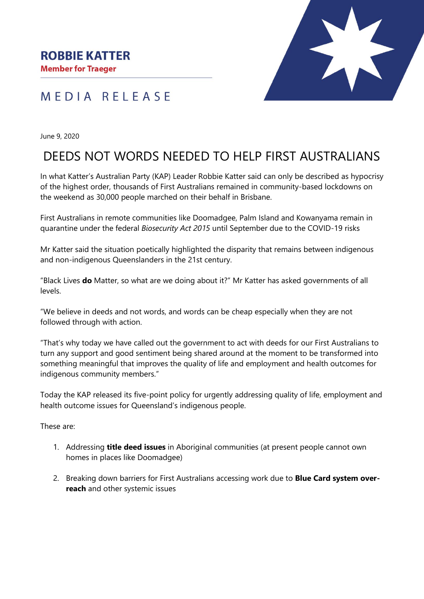**Member for Traeger** 

## MEDIA RELEASE



June 9, 2020

## DEEDS NOT WORDS NEEDED TO HELP FIRST AUSTRALIANS

In what Katter's Australian Party (KAP) Leader Robbie Katter said can only be described as hypocrisy of the highest order, thousands of First Australians remained in community-based lockdowns on the weekend as 30,000 people marched on their behalf in Brisbane.

First Australians in remote communities like Doomadgee, Palm Island and Kowanyama remain in quarantine under the federal *Biosecurity Act 2015* until September due to the COVID-19 risks

Mr Katter said the situation poetically highlighted the disparity that remains between indigenous and non-indigenous Queenslanders in the 21st century.

"Black Lives **do** Matter, so what are we doing about it?" Mr Katter has asked governments of all levels.

"We believe in deeds and not words, and words can be cheap especially when they are not followed through with action.

"That's why today we have called out the government to act with deeds for our First Australians to turn any support and good sentiment being shared around at the moment to be transformed into something meaningful that improves the quality of life and employment and health outcomes for indigenous community members."

Today the KAP released its five-point policy for urgently addressing quality of life, employment and health outcome issues for Queensland's indigenous people.

These are:

- 1. Addressing **title deed issues** in Aboriginal communities (at present people cannot own homes in places like Doomadgee)
- 2. Breaking down barriers for First Australians accessing work due to **Blue Card system overreach** and other systemic issues